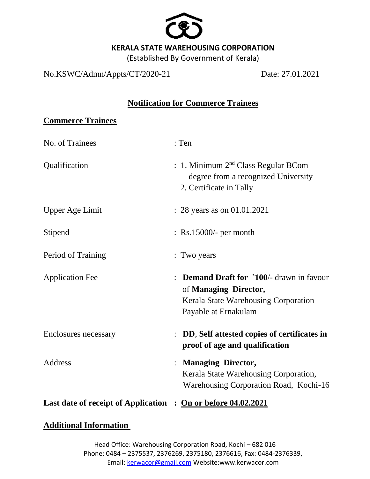

(Established By Government of Kerala)

No.KSWC/Admn/Appts/CT/2020-21 Date: 27.01.2021

## **Notification for Commerce Trainees**

## **Commerce Trainees**

| No. of Trainees                                               | : Ten                                                                                                                                          |
|---------------------------------------------------------------|------------------------------------------------------------------------------------------------------------------------------------------------|
| Qualification                                                 | : 1. Minimum 2 <sup>nd</sup> Class Regular BCom<br>degree from a recognized University<br>2. Certificate in Tally                              |
| <b>Upper Age Limit</b>                                        | $: 28$ years as on 01.01.2021                                                                                                                  |
| Stipend                                                       | $\therefore$ Rs.15000/- per month                                                                                                              |
| Period of Training                                            | : Two years                                                                                                                                    |
| <b>Application Fee</b>                                        | <b>Demand Draft for '100/- drawn in favour</b><br>of Managing Director,<br><b>Kerala State Warehousing Corporation</b><br>Payable at Ernakulam |
| Enclosures necessary                                          | DD, Self attested copies of certificates in<br>proof of age and qualification                                                                  |
| Address                                                       | <b>Managing Director,</b><br>Kerala State Warehousing Corporation,<br>Warehousing Corporation Road, Kochi-16                                   |
| Last date of receipt of Application : On or before 04.02.2021 |                                                                                                                                                |

## **Additional Information**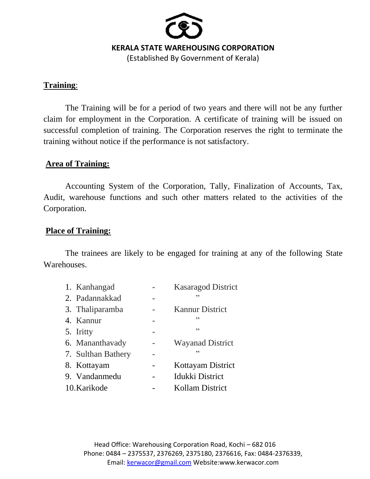

(Established By Government of Kerala)

#### **Training**:

The Training will be for a period of two years and there will not be any further claim for employment in the Corporation. A certificate of training will be issued on successful completion of training. The Corporation reserves the right to terminate the training without notice if the performance is not satisfactory.

## **Area of Training:**

Accounting System of the Corporation, Tally, Finalization of Accounts, Tax, Audit, warehouse functions and such other matters related to the activities of the Corporation.

## **Place of Training:**

The trainees are likely to be engaged for training at any of the following State Warehouses.

| 1. Kanhangad       | <b>Kasaragod District</b> |  |
|--------------------|---------------------------|--|
| 2. Padannakkad     | ,,                        |  |
| 3. Thaliparamba    | <b>Kannur District</b>    |  |
| 4. Kannur          | ,,                        |  |
| 5. Iritty          | ,,                        |  |
| 6. Mananthavady    | <b>Wayanad District</b>   |  |
| 7. Sulthan Bathery | د د                       |  |
| 8. Kottayam        | Kottayam District         |  |
| 9. Vandanmedu      | Idukki District           |  |
| 10.Karikode        | Kollam District           |  |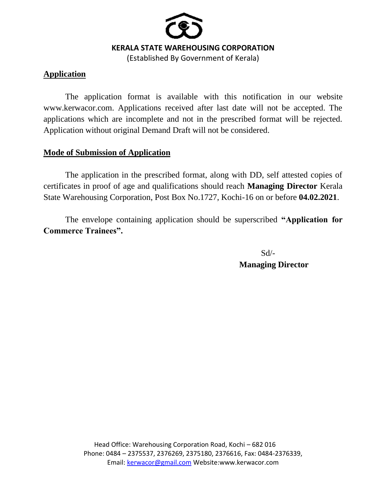

(Established By Government of Kerala)

# **Application**

The application format is available with this notification in our website www.kerwacor.com. Applications received after last date will not be accepted. The applications which are incomplete and not in the prescribed format will be rejected. Application without original Demand Draft will not be considered.

## **Mode of Submission of Application**

The application in the prescribed format, along with DD, self attested copies of certificates in proof of age and qualifications should reach **Managing Director** Kerala State Warehousing Corporation, Post Box No.1727, Kochi-16 on or before **04.02.2021**.

The envelope containing application should be superscribed **"Application for Commerce Trainees".**

> $Sd$ <sup>-</sup> **Managing Director**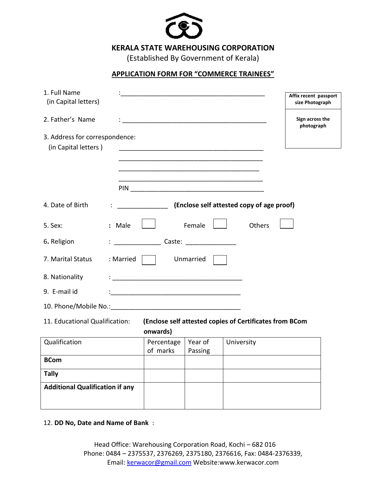

(Established By Government of Kerala)

#### **APPLICATION FORM FOR "COMMERCE TRAINEES"**

|                                                                                                       |            |          |                                | Affix recent passport<br>size Photograph                                                                                                                                                                                                                                                                                                                                                                                                                                                                                    |  |  |  |  |
|-------------------------------------------------------------------------------------------------------|------------|----------|--------------------------------|-----------------------------------------------------------------------------------------------------------------------------------------------------------------------------------------------------------------------------------------------------------------------------------------------------------------------------------------------------------------------------------------------------------------------------------------------------------------------------------------------------------------------------|--|--|--|--|
|                                                                                                       |            |          |                                | Sign across the<br>photograph                                                                                                                                                                                                                                                                                                                                                                                                                                                                                               |  |  |  |  |
| 3. Address for correspondence:                                                                        |            |          |                                |                                                                                                                                                                                                                                                                                                                                                                                                                                                                                                                             |  |  |  |  |
|                                                                                                       |            |          |                                |                                                                                                                                                                                                                                                                                                                                                                                                                                                                                                                             |  |  |  |  |
|                                                                                                       |            |          |                                |                                                                                                                                                                                                                                                                                                                                                                                                                                                                                                                             |  |  |  |  |
|                                                                                                       |            |          |                                |                                                                                                                                                                                                                                                                                                                                                                                                                                                                                                                             |  |  |  |  |
| : Male                                                                                                |            |          | Others                         |                                                                                                                                                                                                                                                                                                                                                                                                                                                                                                                             |  |  |  |  |
|                                                                                                       |            |          |                                |                                                                                                                                                                                                                                                                                                                                                                                                                                                                                                                             |  |  |  |  |
| : Married                                                                                             |            |          |                                |                                                                                                                                                                                                                                                                                                                                                                                                                                                                                                                             |  |  |  |  |
|                                                                                                       |            |          |                                |                                                                                                                                                                                                                                                                                                                                                                                                                                                                                                                             |  |  |  |  |
|                                                                                                       |            |          |                                |                                                                                                                                                                                                                                                                                                                                                                                                                                                                                                                             |  |  |  |  |
|                                                                                                       |            |          |                                |                                                                                                                                                                                                                                                                                                                                                                                                                                                                                                                             |  |  |  |  |
| 11. Educational Qualification:<br>(Enclose self attested copies of Certificates from BCom<br>onwards) |            |          |                                |                                                                                                                                                                                                                                                                                                                                                                                                                                                                                                                             |  |  |  |  |
|                                                                                                       | Percentage | Year of  | University                     |                                                                                                                                                                                                                                                                                                                                                                                                                                                                                                                             |  |  |  |  |
|                                                                                                       |            |          |                                |                                                                                                                                                                                                                                                                                                                                                                                                                                                                                                                             |  |  |  |  |
|                                                                                                       |            |          |                                |                                                                                                                                                                                                                                                                                                                                                                                                                                                                                                                             |  |  |  |  |
| <b>Additional Qualification if any</b>                                                                |            |          |                                |                                                                                                                                                                                                                                                                                                                                                                                                                                                                                                                             |  |  |  |  |
|                                                                                                       |            | of marks | Female<br>Unmarried<br>Passing | <u> 1980 - Johann John Stone, mars eta bat eta bat eta bat eta bat eta bat eta bat eta bat eta bat eta bat eta b</u><br><u> 1989 - Johann Stein, mars an deutscher Stein und der Stein und der Stein und der Stein und der Stein und der</u><br>(Enclose self attested copy of age proof)<br>Caste: the case of the case of the case of the case of the case of the case of the case of the case of the case of the case of the case of the case of the case of the case of the case of the case of the case of the case of |  |  |  |  |

12. **DD No, Date and Name of Bank** :